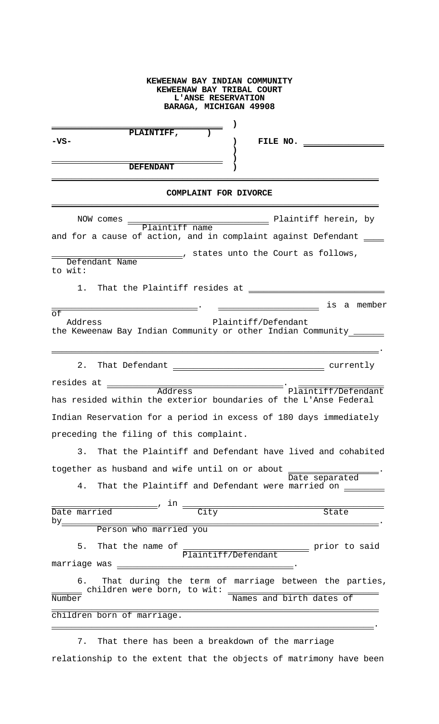## **KEWEENAW BAY INDIAN COMMUNITY KEWEENAW BAY TRIBAL COURT L'ANSE RESERVATION BARAGA, MICHIGAN 49908**

|      | PLAINTIFF,       |  |          |  |
|------|------------------|--|----------|--|
| -VS- |                  |  | FILE NO. |  |
|      |                  |  |          |  |
|      |                  |  |          |  |
|      | <b>DEFENDANT</b> |  |          |  |
|      |                  |  |          |  |

## **COMPLAINT FOR DIVORCE**

| Plaintiff name Plaintiff herein, by<br>NOW comes                                                                                  |                     |
|-----------------------------------------------------------------------------------------------------------------------------------|---------------------|
| and for a cause of action, and in complaint against Defendant ____                                                                |                     |
| _______, states unto the Court as follows,<br>Defendant Name<br>to wit:                                                           |                     |
| 1.                                                                                                                                |                     |
|                                                                                                                                   | is a member         |
| $\overline{\circ f}$<br>Plaintiff/Defendant<br>Address<br>the Keweenaw Bay Indian Community or other Indian Community ______      |                     |
| $2$ .                                                                                                                             |                     |
| resides at<br>Address                                                                                                             | Plaintiff/Defendant |
| has resided within the exterior boundaries of the L'Anse Federal                                                                  |                     |
| Indian Reservation for a period in excess of 180 days immediately                                                                 |                     |
| preceding the filing of this complaint.                                                                                           |                     |
| 3. That the Plaintiff and Defendant have lived and cohabited                                                                      |                     |
| together as husband and wife until on or about _                                                                                  |                     |
| That the Plaintiff and Defendant were married on ________<br>4.                                                                   | Date separated      |
| _______, in <sub>=</sub>                                                                                                          |                     |
| $\overline{\overline{\text{City}}}$<br>Date married                                                                               | State               |
| $by_$<br>Person who married you                                                                                                   |                     |
| 5. That the name of $\frac{1}{\text{Plaintiff}/\text{Defendant}}$ prior to said                                                   |                     |
|                                                                                                                                   |                     |
| 6. That during the term of marriage between the parties,<br>children were born, to wit: <u>Wames and birth dates of</u><br>Number |                     |
|                                                                                                                                   |                     |
| children born of marriage.                                                                                                        |                     |
|                                                                                                                                   |                     |

 7. That there has been a breakdown of the marriage relationship to the extent that the objects of matrimony have been